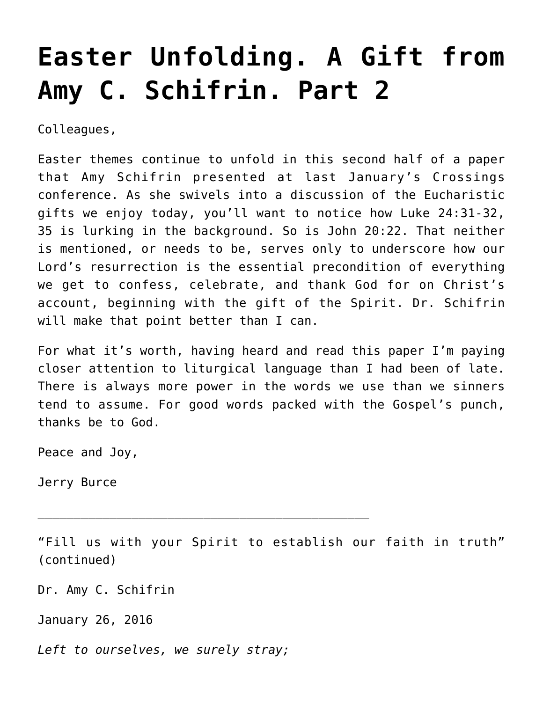## **[Easter Unfolding. A Gift from](https://crossings.org/easter-unfolding-a-gift-from-amy-c-schifrin-part-2/) [Amy C. Schifrin. Part 2](https://crossings.org/easter-unfolding-a-gift-from-amy-c-schifrin-part-2/)**

Colleagues,

Easter themes continue to unfold in this second half of a paper that Amy Schifrin presented at last January's Crossings conference. As she swivels into a discussion of the Eucharistic gifts we enjoy today, you'll want to notice how Luke 24:31-32, 35 is lurking in the background. So is John 20:22. That neither is mentioned, or needs to be, serves only to underscore how our Lord's resurrection is the essential precondition of everything we get to confess, celebrate, and thank God for on Christ's account, beginning with the gift of the Spirit. Dr. Schifrin will make that point better than I can.

For what it's worth, having heard and read this paper I'm paying closer attention to liturgical language than I had been of late. There is always more power in the words we use than we sinners tend to assume. For good words packed with the Gospel's punch, thanks be to God.

Peace and Joy,

Jerry Burce

"Fill us with your Spirit to establish our faith in truth" (continued)

Dr. Amy C. Schifrin

January 26, 2016

*Left to ourselves, we surely stray;*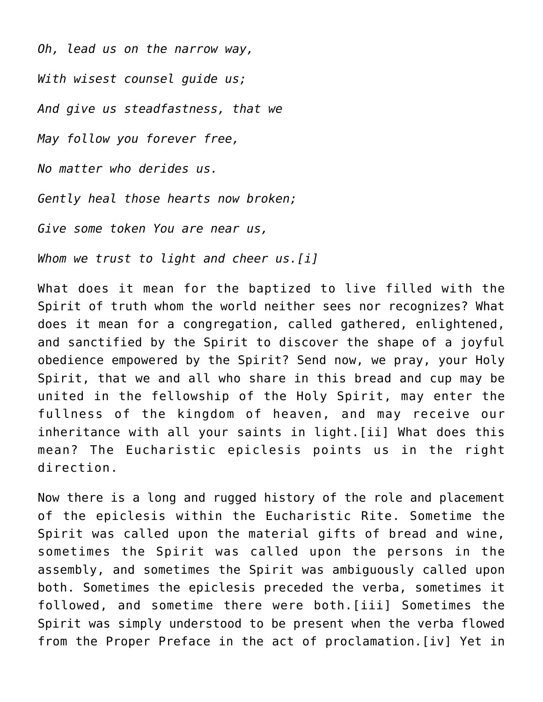*Oh, lead us on the narrow way, With wisest counsel guide us; And give us steadfastness, that we May follow you forever free, No matter who derides us. Gently heal those hearts now broken; Give some token You are near us, Whom we trust to light and cheer us.[i]*

What does it mean for the baptized to live filled with the Spirit of truth whom the world neither sees nor recognizes? What does it mean for a congregation, called gathered, enlightened, and sanctified by the Spirit to discover the shape of a joyful obedience empowered by the Spirit? Send now, we pray, your Holy Spirit, that we and all who share in this bread and cup may be united in the fellowship of the Holy Spirit, may enter the fullness of the kingdom of heaven, and may receive our inheritance with all your saints in light.[ii] What does this mean? The Eucharistic epiclesis points us in the right direction.

Now there is a long and rugged history of the role and placement of the epiclesis within the Eucharistic Rite. Sometime the Spirit was called upon the material gifts of bread and wine, sometimes the Spirit was called upon the persons in the assembly, and sometimes the Spirit was ambiguously called upon both. Sometimes the epiclesis preceded the verba, sometimes it followed, and sometime there were both.[iii] Sometimes the Spirit was simply understood to be present when the verba flowed from the Proper Preface in the act of proclamation.[iv] Yet in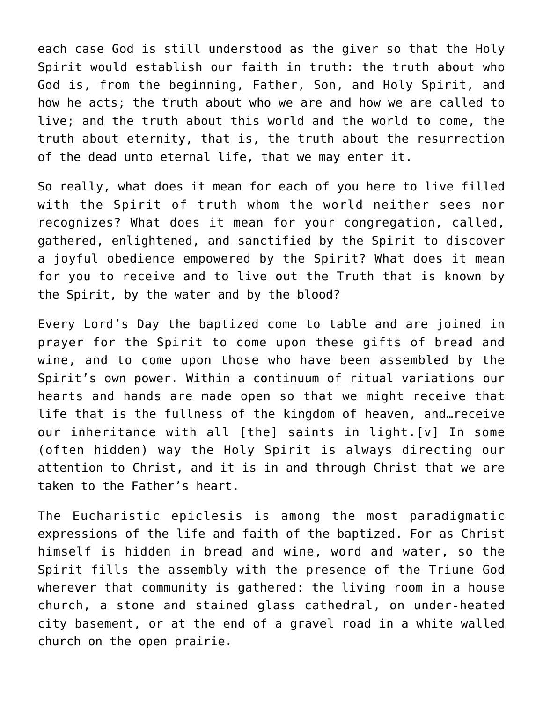each case God is still understood as the giver so that the Holy Spirit would establish our faith in truth: the truth about who God is, from the beginning, Father, Son, and Holy Spirit, and how he acts; the truth about who we are and how we are called to live; and the truth about this world and the world to come, the truth about eternity, that is, the truth about the resurrection of the dead unto eternal life, that we may enter it.

So really, what does it mean for each of you here to live filled with the Spirit of truth whom the world neither sees nor recognizes? What does it mean for your congregation, called, gathered, enlightened, and sanctified by the Spirit to discover a joyful obedience empowered by the Spirit? What does it mean for you to receive and to live out the Truth that is known by the Spirit, by the water and by the blood?

Every Lord's Day the baptized come to table and are joined in prayer for the Spirit to come upon these gifts of bread and wine, and to come upon those who have been assembled by the Spirit's own power. Within a continuum of ritual variations our hearts and hands are made open so that we might receive that life that is the fullness of the kingdom of heaven, and…receive our inheritance with all [the] saints in light.[v] In some (often hidden) way the Holy Spirit is always directing our attention to Christ, and it is in and through Christ that we are taken to the Father's heart.

The Eucharistic epiclesis is among the most paradigmatic expressions of the life and faith of the baptized. For as Christ himself is hidden in bread and wine, word and water, so the Spirit fills the assembly with the presence of the Triune God wherever that community is gathered: the living room in a house church, a stone and stained glass cathedral, on under-heated city basement, or at the end of a gravel road in a white walled church on the open prairie.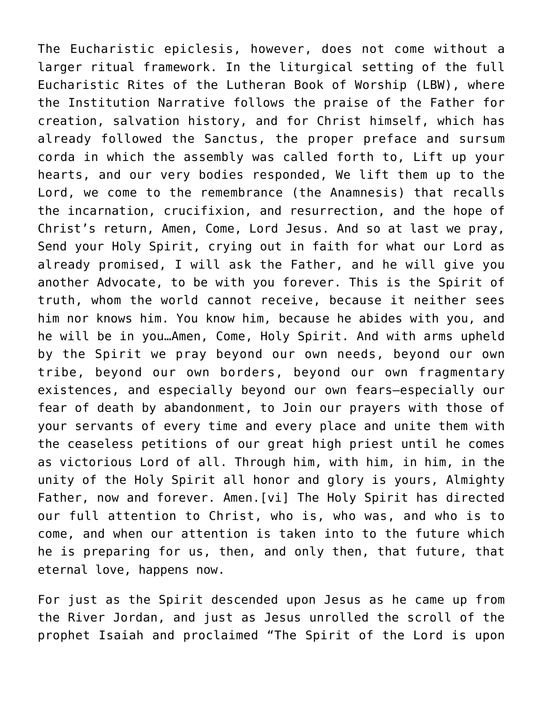The Eucharistic epiclesis, however, does not come without a larger ritual framework. In the liturgical setting of the full Eucharistic Rites of the Lutheran Book of Worship (LBW), where the Institution Narrative follows the praise of the Father for creation, salvation history, and for Christ himself, which has already followed the Sanctus, the proper preface and sursum corda in which the assembly was called forth to, Lift up your hearts, and our very bodies responded, We lift them up to the Lord, we come to the remembrance (the Anamnesis) that recalls the incarnation, crucifixion, and resurrection, and the hope of Christ's return, Amen, Come, Lord Jesus. And so at last we pray, Send your Holy Spirit, crying out in faith for what our Lord as already promised, I will ask the Father, and he will give you another Advocate, to be with you forever. This is the Spirit of truth, whom the world cannot receive, because it neither sees him nor knows him. You know him, because he abides with you, and he will be in you…Amen, Come, Holy Spirit. And with arms upheld by the Spirit we pray beyond our own needs, beyond our own tribe, beyond our own borders, beyond our own fragmentary existences, and especially beyond our own fears—especially our fear of death by abandonment, to Join our prayers with those of your servants of every time and every place and unite them with the ceaseless petitions of our great high priest until he comes as victorious Lord of all. Through him, with him, in him, in the unity of the Holy Spirit all honor and glory is yours, Almighty Father, now and forever. Amen.[vi] The Holy Spirit has directed our full attention to Christ, who is, who was, and who is to come, and when our attention is taken into to the future which he is preparing for us, then, and only then, that future, that eternal love, happens now.

For just as the Spirit descended upon Jesus as he came up from the River Jordan, and just as Jesus unrolled the scroll of the prophet Isaiah and proclaimed "The Spirit of the Lord is upon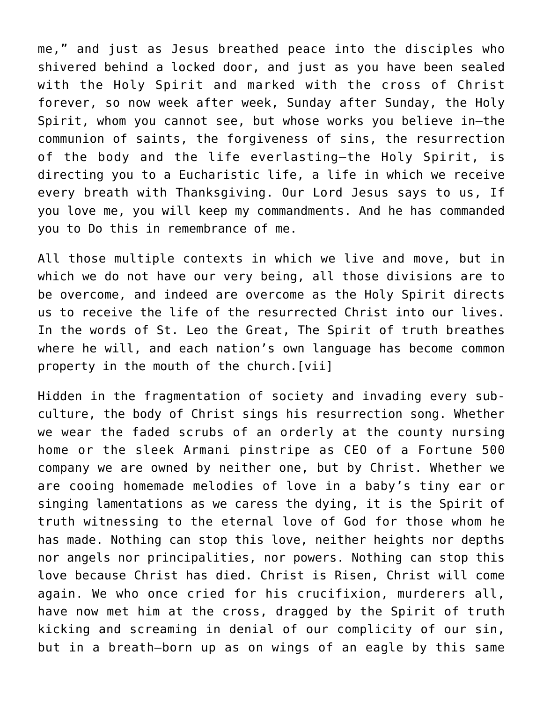me," and just as Jesus breathed peace into the disciples who shivered behind a locked door, and just as you have been sealed with the Holy Spirit and marked with the cross of Christ forever, so now week after week, Sunday after Sunday, the Holy Spirit, whom you cannot see, but whose works you believe in—the communion of saints, the forgiveness of sins, the resurrection of the body and the life everlasting—the Holy Spirit, is directing you to a Eucharistic life, a life in which we receive every breath with Thanksgiving. Our Lord Jesus says to us, If you love me, you will keep my commandments. And he has commanded you to Do this in remembrance of me.

All those multiple contexts in which we live and move, but in which we do not have our very being, all those divisions are to be overcome, and indeed are overcome as the Holy Spirit directs us to receive the life of the resurrected Christ into our lives. In the words of St. Leo the Great, The Spirit of truth breathes where he will, and each nation's own language has become common property in the mouth of the church.[vii]

Hidden in the fragmentation of society and invading every subculture, the body of Christ sings his resurrection song. Whether we wear the faded scrubs of an orderly at the county nursing home or the sleek Armani pinstripe as CEO of a Fortune 500 company we are owned by neither one, but by Christ. Whether we are cooing homemade melodies of love in a baby's tiny ear or singing lamentations as we caress the dying, it is the Spirit of truth witnessing to the eternal love of God for those whom he has made. Nothing can stop this love, neither heights nor depths nor angels nor principalities, nor powers. Nothing can stop this love because Christ has died. Christ is Risen, Christ will come again. We who once cried for his crucifixion, murderers all, have now met him at the cross, dragged by the Spirit of truth kicking and screaming in denial of our complicity of our sin, but in a breath—born up as on wings of an eagle by this same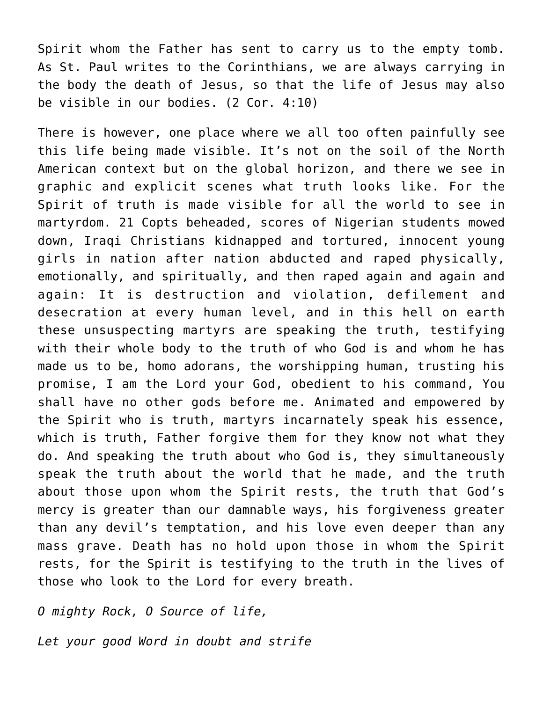Spirit whom the Father has sent to carry us to the empty tomb. As St. Paul writes to the Corinthians, we are always carrying in the body the death of Jesus, so that the life of Jesus may also be visible in our bodies. (2 Cor. 4:10)

There is however, one place where we all too often painfully see this life being made visible. It's not on the soil of the North American context but on the global horizon, and there we see in graphic and explicit scenes what truth looks like. For the Spirit of truth is made visible for all the world to see in martyrdom. 21 Copts beheaded, scores of Nigerian students mowed down, Iraqi Christians kidnapped and tortured, innocent young girls in nation after nation abducted and raped physically, emotionally, and spiritually, and then raped again and again and again: It is destruction and violation, defilement and desecration at every human level, and in this hell on earth these unsuspecting martyrs are speaking the truth, testifying with their whole body to the truth of who God is and whom he has made us to be, homo adorans, the worshipping human, trusting his promise, I am the Lord your God, obedient to his command, You shall have no other gods before me. Animated and empowered by the Spirit who is truth, martyrs incarnately speak his essence, which is truth, Father forgive them for they know not what they do. And speaking the truth about who God is, they simultaneously speak the truth about the world that he made, and the truth about those upon whom the Spirit rests, the truth that God's mercy is greater than our damnable ways, his forgiveness greater than any devil's temptation, and his love even deeper than any mass grave. Death has no hold upon those in whom the Spirit rests, for the Spirit is testifying to the truth in the lives of those who look to the Lord for every breath.

*O mighty Rock, O Source of life,*

*Let your good Word in doubt and strife*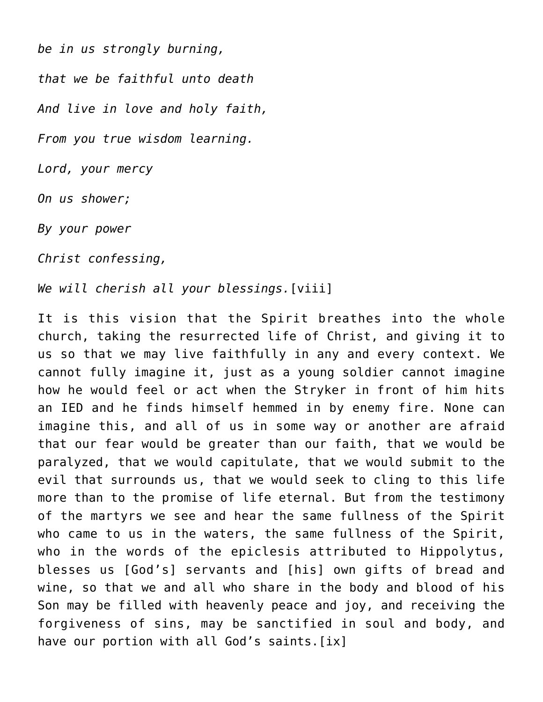*be in us strongly burning, that we be faithful unto death And live in love and holy faith, From you true wisdom learning. Lord, your mercy On us shower; By your power Christ confessing,*

*We will cherish all your blessings.*[viii]

It is this vision that the Spirit breathes into the whole church, taking the resurrected life of Christ, and giving it to us so that we may live faithfully in any and every context. We cannot fully imagine it, just as a young soldier cannot imagine how he would feel or act when the Stryker in front of him hits an IED and he finds himself hemmed in by enemy fire. None can imagine this, and all of us in some way or another are afraid that our fear would be greater than our faith, that we would be paralyzed, that we would capitulate, that we would submit to the evil that surrounds us, that we would seek to cling to this life more than to the promise of life eternal. But from the testimony of the martyrs we see and hear the same fullness of the Spirit who came to us in the waters, the same fullness of the Spirit, who in the words of the epiclesis attributed to Hippolytus, blesses us [God's] servants and [his] own gifts of bread and wine, so that we and all who share in the body and blood of his Son may be filled with heavenly peace and joy, and receiving the forgiveness of sins, may be sanctified in soul and body, and have our portion with all God's saints. [ix]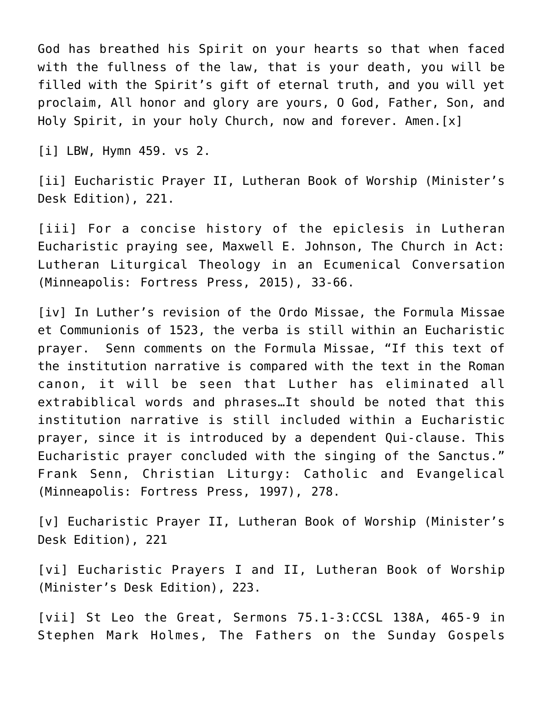God has breathed his Spirit on your hearts so that when faced with the fullness of the law, that is your death, you will be filled with the Spirit's gift of eternal truth, and you will yet proclaim, All honor and glory are yours, O God, Father, Son, and Holy Spirit, in your holy Church, now and forever. Amen.[x]

[i] LBW, Hymn 459. vs 2.

[ii] Eucharistic Prayer II, Lutheran Book of Worship (Minister's Desk Edition), 221.

[iii] For a concise history of the epiclesis in Lutheran Eucharistic praying see, Maxwell E. Johnson, The Church in Act: Lutheran Liturgical Theology in an Ecumenical Conversation (Minneapolis: Fortress Press, 2015), 33-66.

[iv] In Luther's revision of the Ordo Missae, the Formula Missae et Communionis of 1523, the verba is still within an Eucharistic prayer. Senn comments on the Formula Missae, "If this text of the institution narrative is compared with the text in the Roman canon, it will be seen that Luther has eliminated all extrabiblical words and phrases…It should be noted that this institution narrative is still included within a Eucharistic prayer, since it is introduced by a dependent Qui-clause. This Eucharistic prayer concluded with the singing of the Sanctus." Frank Senn, Christian Liturgy: Catholic and Evangelical (Minneapolis: Fortress Press, 1997), 278.

[v] Eucharistic Prayer II, Lutheran Book of Worship (Minister's Desk Edition), 221

[vi] Eucharistic Prayers I and II, Lutheran Book of Worship (Minister's Desk Edition), 223.

[vii] St Leo the Great, Sermons 75.1-3:CCSL 138A, 465-9 in Stephen Mark Holmes, The Fathers on the Sunday Gospels